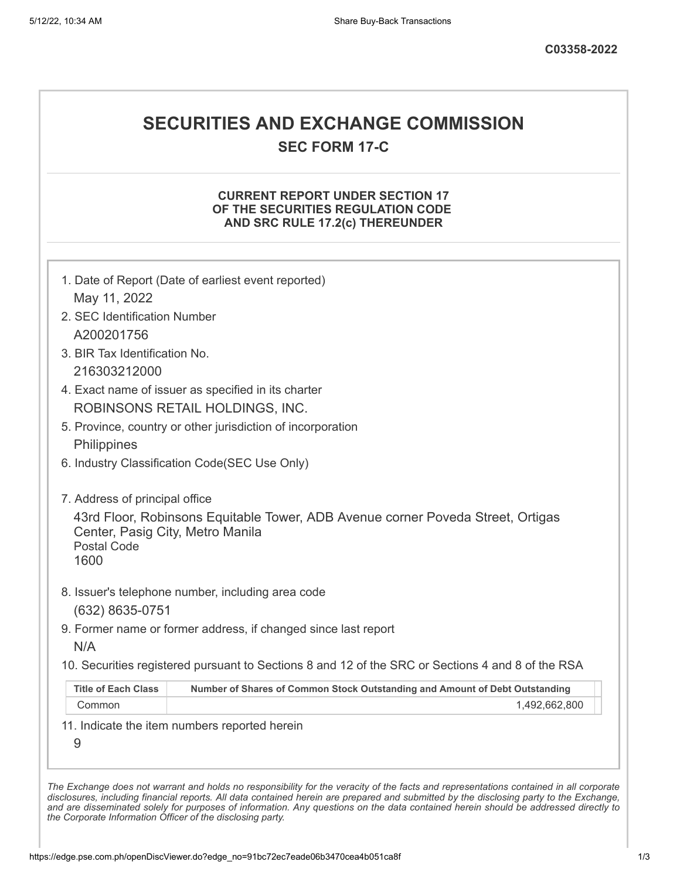# **SECURITIES AND EXCHANGE COMMISSION**

**SEC FORM 17-C**

## **CURRENT REPORT UNDER SECTION 17 OF THE SECURITIES REGULATION CODE AND SRC RULE 17.2(c) THEREUNDER**

|                                                                | 1. Date of Report (Date of earliest event reported)                                               |
|----------------------------------------------------------------|---------------------------------------------------------------------------------------------------|
| May 11, 2022                                                   |                                                                                                   |
| 2. SEC Identification Number                                   |                                                                                                   |
| A200201756                                                     |                                                                                                   |
| 3. BIR Tax Identification No.                                  |                                                                                                   |
| 216303212000                                                   |                                                                                                   |
|                                                                | 4. Exact name of issuer as specified in its charter                                               |
|                                                                | ROBINSONS RETAIL HOLDINGS, INC.                                                                   |
|                                                                | 5. Province, country or other jurisdiction of incorporation                                       |
| Philippines                                                    |                                                                                                   |
|                                                                | 6. Industry Classification Code(SEC Use Only)                                                     |
| 7. Address of principal office                                 |                                                                                                   |
| Center, Pasig City, Metro Manila<br><b>Postal Code</b><br>1600 | 43rd Floor, Robinsons Equitable Tower, ADB Avenue corner Poveda Street, Ortigas                   |
|                                                                | 8. Issuer's telephone number, including area code                                                 |
| (632) 8635-0751                                                |                                                                                                   |
|                                                                |                                                                                                   |
| N/A                                                            | 9. Former name or former address, if changed since last report                                    |
|                                                                | 10. Securities registered pursuant to Sections 8 and 12 of the SRC or Sections 4 and 8 of the RSA |
| <b>Title of Each Class</b>                                     | Number of Shares of Common Stock Outstanding and Amount of Debt Outstanding                       |
| Common                                                         | 1,492,662,800                                                                                     |
| 9                                                              | 11. Indicate the item numbers reported herein                                                     |

*the Corporate Information Officer of the disclosing party.*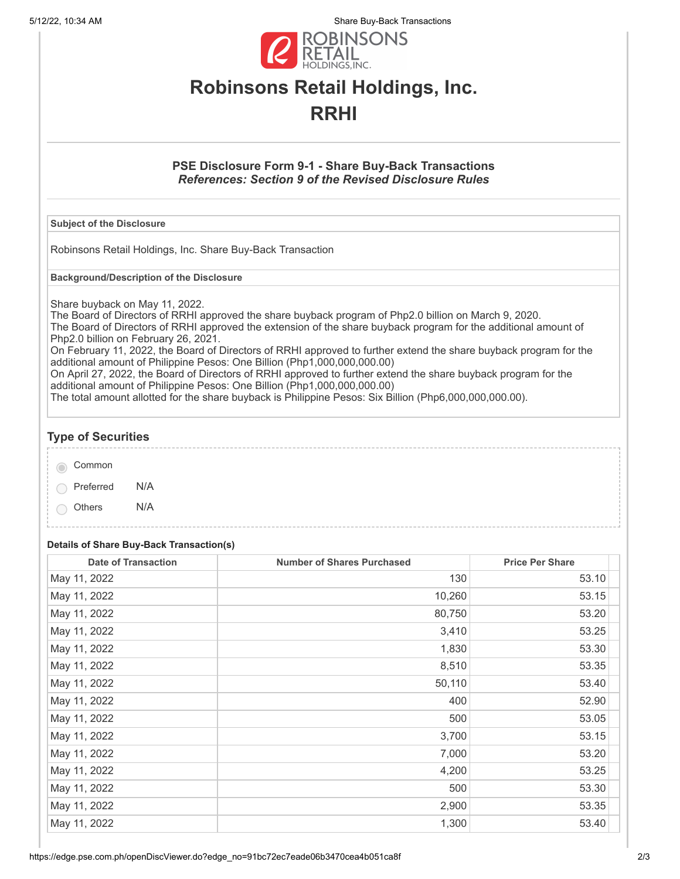5/12/22, 10:34 AM Share Buy-Back Transactions



# **Robinsons Retail Holdings, Inc. RRHI**

## **PSE Disclosure Form 9-1 - Share Buy-Back Transactions** *References: Section 9 of the Revised Disclosure Rules*

#### **Subject of the Disclosure**

Robinsons Retail Holdings, Inc. Share Buy-Back Transaction

**Background/Description of the Disclosure**

Share buyback on May 11, 2022.

The Board of Directors of RRHI approved the share buyback program of Php2.0 billion on March 9, 2020. The Board of Directors of RRHI approved the extension of the share buyback program for the additional amount of Php2.0 billion on February 26, 2021.

On February 11, 2022, the Board of Directors of RRHI approved to further extend the share buyback program for the additional amount of Philippine Pesos: One Billion (Php1,000,000,000.00)

On April 27, 2022, the Board of Directors of RRHI approved to further extend the share buyback program for the additional amount of Philippine Pesos: One Billion (Php1,000,000,000.00)

The total amount allotted for the share buyback is Philippine Pesos: Six Billion (Php6,000,000,000.00).

# **Type of Securities**

| Common |  |
|--------|--|
|        |  |

Preferred N/A

Others N/A

### **Details of Share Buy-Back Transaction(s)**

| <b>Date of Transaction</b> | <b>Number of Shares Purchased</b> | <b>Price Per Share</b> |
|----------------------------|-----------------------------------|------------------------|
| May 11, 2022               | 130                               | 53.10                  |
| May 11, 2022               | 10,260                            | 53.15                  |
| May 11, 2022               | 80,750                            | 53.20                  |
| May 11, 2022               | 3,410                             | 53.25                  |
| May 11, 2022               | 1,830                             | 53.30                  |
| May 11, 2022               | 8,510                             | 53.35                  |
| May 11, 2022               | 50,110                            | 53.40                  |
| May 11, 2022               | 400                               | 52.90                  |
| May 11, 2022               | 500                               | 53.05                  |
| May 11, 2022               | 3,700                             | 53.15                  |
| May 11, 2022               | 7,000                             | 53.20                  |
| May 11, 2022               | 4,200                             | 53.25                  |
| May 11, 2022               | 500                               | 53.30                  |
| May 11, 2022               | 2,900                             | 53.35                  |
| May 11, 2022               | 1,300                             | 53.40                  |